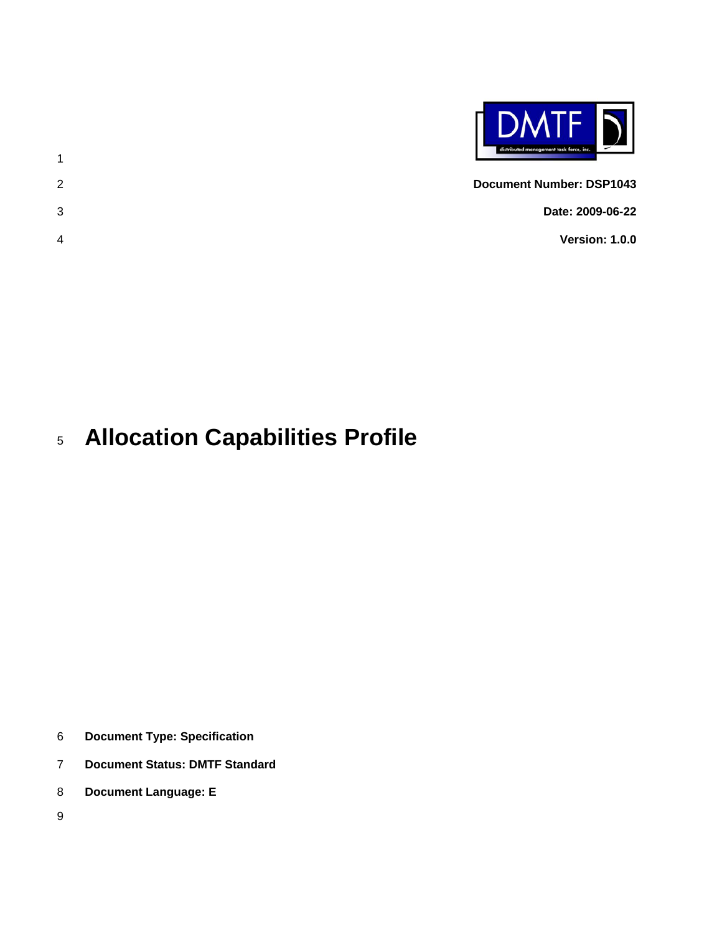

**Version: 1.0.0** 

- 2 3 **Document Number: DSP1043 Date: 2009-06-22**
- 4

#### 5 **Allocation Capabilities Profile**

6 **Document Type: Specification** 

7 **Document Status: DMTF Standard** 

8 **Document Language: E** 

9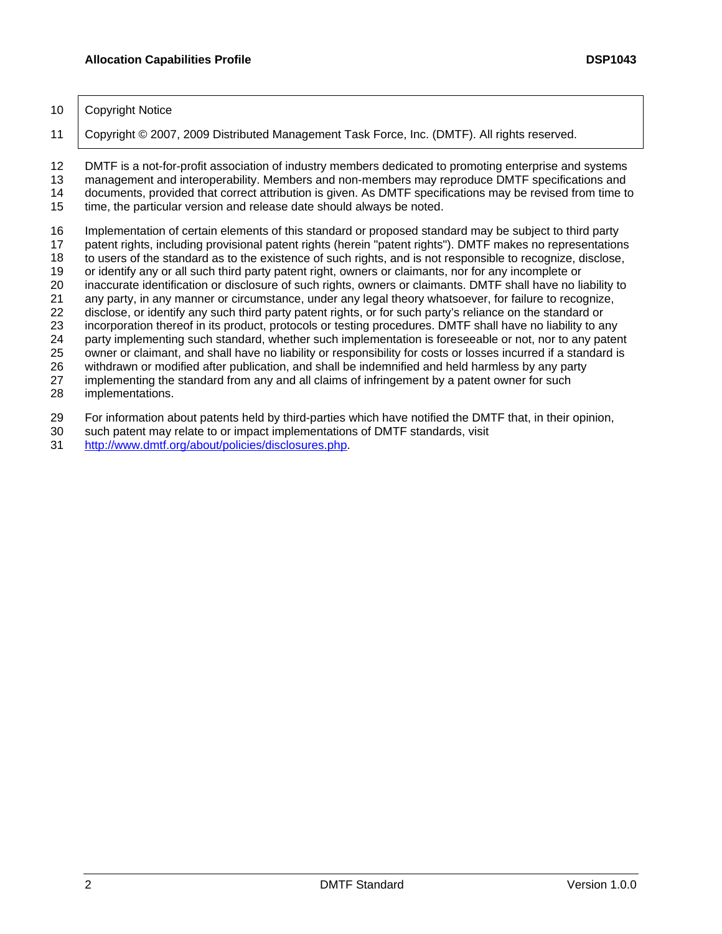10 | Copyright Notice

11 Copyright © 2007, 2009 Distributed Management Task Force, Inc. (DMTF). All rights reserved.

12 DMTF is a not-for-profit association of industry members dedicated to promoting enterprise and systems

13 14 management and interoperability. Members and non-members may reproduce DMTF specifications and documents, provided that correct attribution is given. As DMTF specifications may be revised from time to

15 time, the particular version and release date should always be noted.

- 16 Implementation of certain elements of this standard or proposed standard may be subject to third party
- 17 patent rights, including provisional patent rights (herein "patent rights"). DMTF makes no representations
- 18 to users of the standard as to the existence of such rights, and is not responsible to recognize, disclose,
- 19 or identify any or all such third party patent right, owners or claimants, nor for any incomplete or
- 20 21 inaccurate identification or disclosure of such rights, owners or claimants. DMTF shall have no liability to any party, in any manner or circumstance, under any legal theory whatsoever, for failure to recognize,
- 22 disclose, or identify any such third party patent rights, or for such party's reliance on the standard or
- 23 incorporation thereof in its product, protocols or testing procedures. DMTF shall have no liability to any
- 24 party implementing such standard, whether such implementation is foreseeable or not, nor to any patent
- 25 owner or claimant, and shall have no liability or responsibility for costs or losses incurred if a standard is
- 26 withdrawn or modified after publication, and shall be indemnified and held harmless by any party

27 implementing the standard from any and all claims of infringement by a patent owner for such

- 28 implementations.
- 29 For information about patents held by third-parties which have notified the DMTF that, in their opinion,
- 30 such patent may relate to or impact implementations of DMTF standards, visit
- 31 <http://www.dmtf.org/about/policies/disclosures.php>.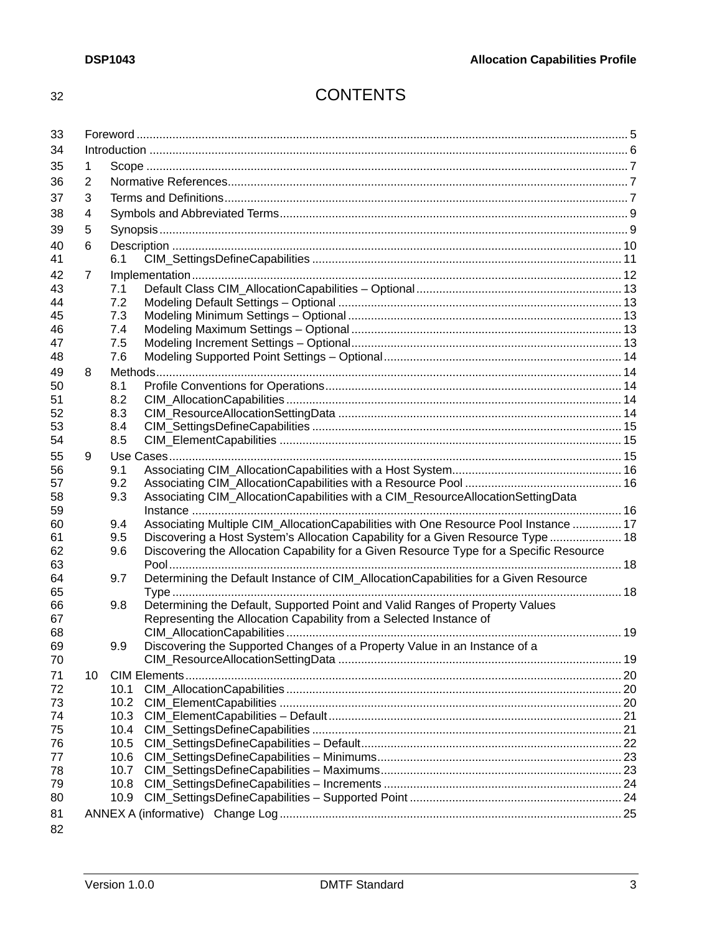# 32 CONTENTS

| 34<br>35<br>1<br>36<br>2<br>3<br>37<br>38<br>4<br>39<br>5<br>40<br>6<br>41<br>6.1<br>42<br>7<br>43<br>7.1                                                                                            |  |
|------------------------------------------------------------------------------------------------------------------------------------------------------------------------------------------------------|--|
|                                                                                                                                                                                                      |  |
|                                                                                                                                                                                                      |  |
|                                                                                                                                                                                                      |  |
|                                                                                                                                                                                                      |  |
|                                                                                                                                                                                                      |  |
|                                                                                                                                                                                                      |  |
|                                                                                                                                                                                                      |  |
|                                                                                                                                                                                                      |  |
|                                                                                                                                                                                                      |  |
|                                                                                                                                                                                                      |  |
|                                                                                                                                                                                                      |  |
| 44<br>7.2                                                                                                                                                                                            |  |
| 45<br>7.3                                                                                                                                                                                            |  |
| 7.4<br>46                                                                                                                                                                                            |  |
| 7.5<br>47                                                                                                                                                                                            |  |
| 7.6<br>48                                                                                                                                                                                            |  |
| 8<br>49                                                                                                                                                                                              |  |
| 8.1<br>50                                                                                                                                                                                            |  |
| 8.2<br>51                                                                                                                                                                                            |  |
| 8.3<br>52                                                                                                                                                                                            |  |
| 8.4<br>53                                                                                                                                                                                            |  |
| 8.5<br>54                                                                                                                                                                                            |  |
| 55<br>9                                                                                                                                                                                              |  |
| 9.1<br>56                                                                                                                                                                                            |  |
| 9.2<br>57                                                                                                                                                                                            |  |
| Associating CIM_AllocationCapabilities with a CIM_ResourceAllocationSettingData<br>9.3<br>58                                                                                                         |  |
| 59<br>Associating Multiple CIM_AllocationCapabilities with One Resource Pool Instance  17                                                                                                            |  |
| 60<br>9.4                                                                                                                                                                                            |  |
| Discovering a Host System's Allocation Capability for a Given Resource Type  18<br>9.5<br>61<br>Discovering the Allocation Capability for a Given Resource Type for a Specific Resource<br>62<br>9.6 |  |
| 63                                                                                                                                                                                                   |  |
| Determining the Default Instance of CIM_AllocationCapabilities for a Given Resource<br>64<br>9.7                                                                                                     |  |
| 65                                                                                                                                                                                                   |  |
| Determining the Default, Supported Point and Valid Ranges of Property Values<br>9.8<br>66                                                                                                            |  |
| Representing the Allocation Capability from a Selected Instance of<br>67                                                                                                                             |  |
| 68                                                                                                                                                                                                   |  |
| Discovering the Supported Changes of a Property Value in an Instance of a<br>9.9<br>69                                                                                                               |  |
| 70                                                                                                                                                                                                   |  |
| 71<br>10                                                                                                                                                                                             |  |
| 72<br>10.1                                                                                                                                                                                           |  |
| 73                                                                                                                                                                                                   |  |
| 74                                                                                                                                                                                                   |  |
| 75                                                                                                                                                                                                   |  |
| 76<br>10.5                                                                                                                                                                                           |  |
| 10.6<br>77                                                                                                                                                                                           |  |
| 78<br>10.7                                                                                                                                                                                           |  |
| 79<br>10.8                                                                                                                                                                                           |  |
| 80                                                                                                                                                                                                   |  |
| 81                                                                                                                                                                                                   |  |
| 82                                                                                                                                                                                                   |  |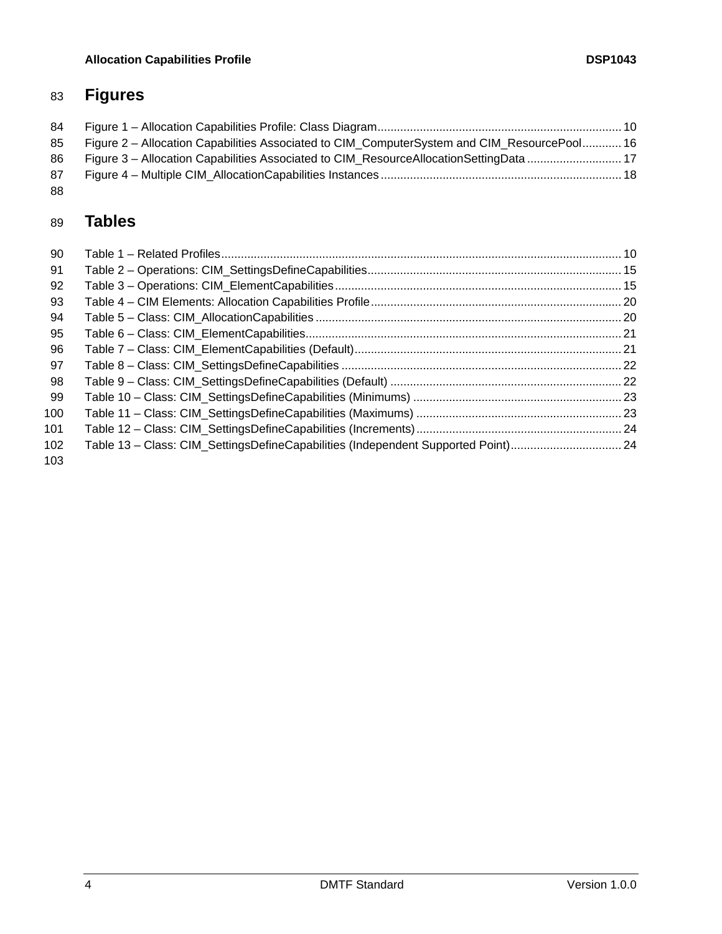# 83 **Figures**

| 84 |                                                                                             |  |
|----|---------------------------------------------------------------------------------------------|--|
| 85 | Figure 2 – Allocation Capabilities Associated to CIM_ComputerSystem and CIM_ResourcePool 16 |  |
| 86 | Figure 3 - Allocation Capabilities Associated to CIM_ResourceAllocationSettingData  17      |  |
| 87 |                                                                                             |  |
| 88 |                                                                                             |  |

#### 89 **Tables**

| 90  |                                                                                  |  |
|-----|----------------------------------------------------------------------------------|--|
| 91  |                                                                                  |  |
| 92  |                                                                                  |  |
| 93  |                                                                                  |  |
| 94  |                                                                                  |  |
| 95  |                                                                                  |  |
| 96  |                                                                                  |  |
| 97  |                                                                                  |  |
| 98  |                                                                                  |  |
| 99  |                                                                                  |  |
| 100 |                                                                                  |  |
| 101 |                                                                                  |  |
| 102 | Table 13 - Class: CIM_SettingsDefineCapabilities (Independent Supported Point)24 |  |
| 103 |                                                                                  |  |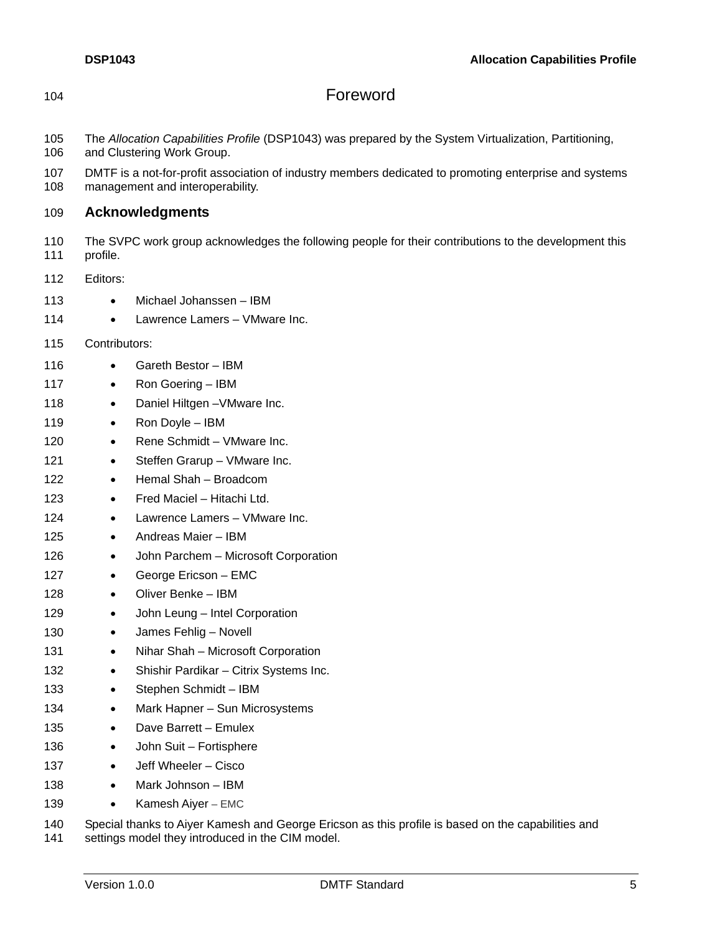## <span id="page-4-0"></span>104 Foreword

105 The *Allocation Capabilities Profile* (DSP1043) was prepared by the System Virtualization, Partitioning,

106 and Clustering Work Group.

107 DMTF is a not-for-profit association of industry members dedicated to promoting enterprise and systems

108 management and interoperability.

#### 109 **Acknowledgments**

110 111 The SVPC work group acknowledges the following people for their contributions to the development this profile.

- 112 Editors:
- 113 Michael Johanssen – IBM
- 114 Lawrence Lamers – VMware Inc.
- 115 Contributors:
- 116 117 Gareth Bestor – IBM • Ron Goering – IBM
- 118 • Daniel Hiltgen – VMware Inc.
- 119 • Ron Doyle – IBM
- 120 • Rene Schmidt – VMware Inc.
- 121 Steffen Grarup – VMware Inc.
- 122 • Hemal Shah – Broadcom
- 123 • Fred Maciel – Hitachi Ltd.
- 124 Lawrence Lamers – VMware Inc.
- 125 Andreas Maier – IBM
- 126 John Parchem – Microsoft Corporation
- 127 • George Ericson – EMC
- 128 Oliver Benke – IBM
- 129 • John Leung – Intel Corporation
- 130 James Fehlig – Novell
- 131 • Nihar Shah – Microsoft Corporation
- 132 • Shishir Pardikar – Citrix Systems Inc.
- 133 Stephen Schmidt – IBM
- 134 • Mark Hapner – Sun Microsystems
- 135 Dave Barrett – Emulex
- 136 John Suit – Fortisphere
- 137 Jeff Wheeler – Cisco
- 138 Mark Johnson – IBM
- 139 • Kamesh Aiyer – EMC

140 141 Special thanks to Aiyer Kamesh and George Ericson as this profile is based on the capabilities and settings model they introduced in the CIM model.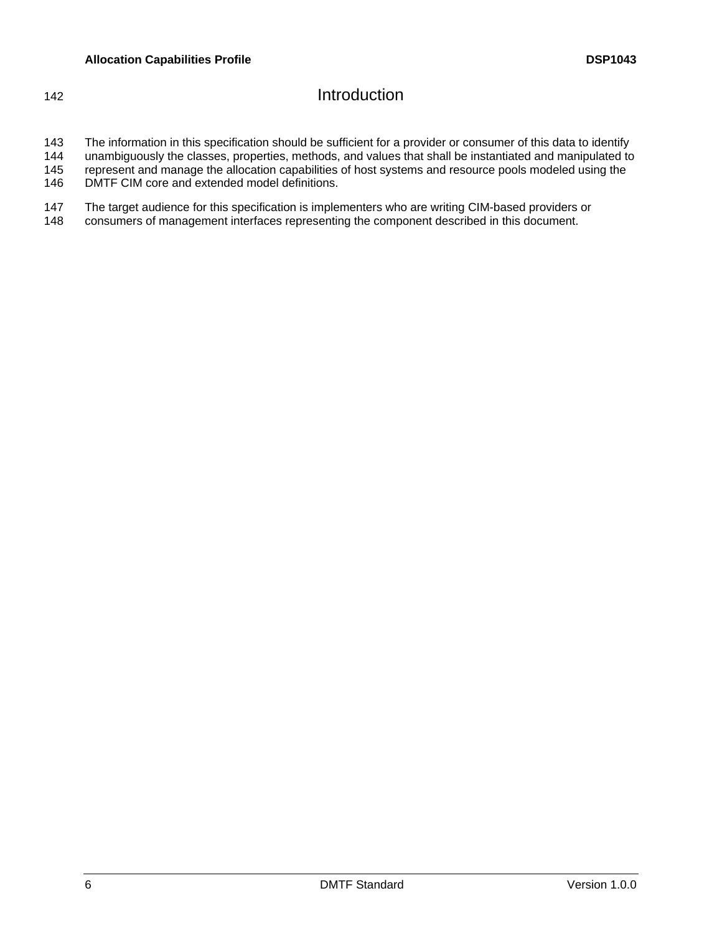# <span id="page-5-0"></span>142 Introduction

143 The information in this specification should be sufficient for a provider or consumer of this data to identify

144 unambiguously the classes, properties, methods, and values that shall be instantiated and manipulated to

145 represent and manage the allocation capabilities of host systems and resource pools modeled using the

146 DMTF CIM core and extended model definitions.

147 The target audience for this specification is implementers who are writing CIM-based providers or

148 consumers of management interfaces representing the component described in this document.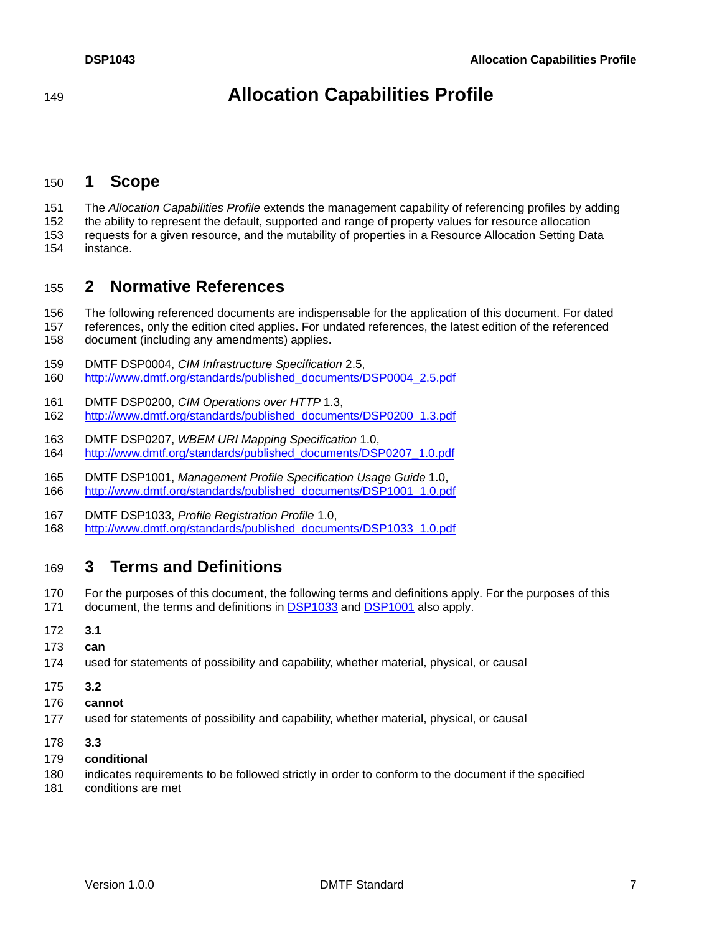# <sup>149</sup>**Allocation Capabilities Profile**

### <span id="page-6-0"></span>150 **1 Scope**

- 151 The *Allocation Capabilities Profile* extends the management capability of referencing profiles by adding
- 152 the ability to represent the default, supported and range of property values for resource allocation
- 153 requests for a given resource, and the mutability of properties in a Resource Allocation Setting Data
- 154 instance.

### <span id="page-6-1"></span>155 **2 Normative References**

- 156 The following referenced documents are indispensable for the application of this document. For dated
- 157 references, only the edition cited applies. For undated references, the latest edition of the referenced
- 158 document (including any amendments) applies.
- 159 DMTF DSP0004, *CIM Infrastructure Specification* 2.5,
- 160 [http://www.dmtf.org/standards/published\\_documents/DSP0004\\_2.5.pdf](http://www.dmtf.org/standards/published_documents/DSP0004_2.5.pdf)
- <span id="page-6-5"></span>161 DMTF DSP0200, *CIM Operations over HTTP* 1.3,
- 162 [http://www.dmtf.org/standards/published\\_documents/DSP0200\\_1.3.pdf](http://www.dmtf.org/standards/published_documents/DSP0200_1.3.pdf)
- 163 DMTF DSP0207, *WBEM URI Mapping Specification* 1.0, 164 [http://www.dmtf.org/standards/published\\_documents/DSP0207\\_1.0.pdf](http://www.dmtf.org/standards/published_documents/DSP0207_1.0.pdf)
- <span id="page-6-4"></span>165 DMTF DSP1001, *Management Profile Specification Usage Guide* 1.0, 166 [http://www.dmtf.org/standards/published\\_documents/DSP1001\\_1.0.pdf](http://www.dmtf.org/standards/published_documents/DSP1001_1.0.pdf)
- <span id="page-6-3"></span>167 DMTF DSP1033, *Profile Registration Profile* 1.0,
- 168 [http://www.dmtf.org/standards/published\\_documents/DSP1033\\_1.0.pdf](http://www.dmtf.org/standards/published_documents/DSP1033_1.0.pdf)

## <span id="page-6-2"></span>169 **3 Terms and Definitions**

- 170 For the purposes of this document, the following terms and definitions apply. For the purposes of this
- 171 document, the terms and definitions in [DSP1033](#page-6-3) and [DSP1001](#page-6-4) also apply.
- 172 **3.1**
- 173 **can**
- 174 used for statements of possibility and capability, whether material, physical, or causal
- 175 **3.2**
- 176 **cannot**
- 177 used for statements of possibility and capability, whether material, physical, or causal
- 178 **3.3**
- 179 **conditional**
- 180 indicates requirements to be followed strictly in order to conform to the document if the specified
- 181 conditions are met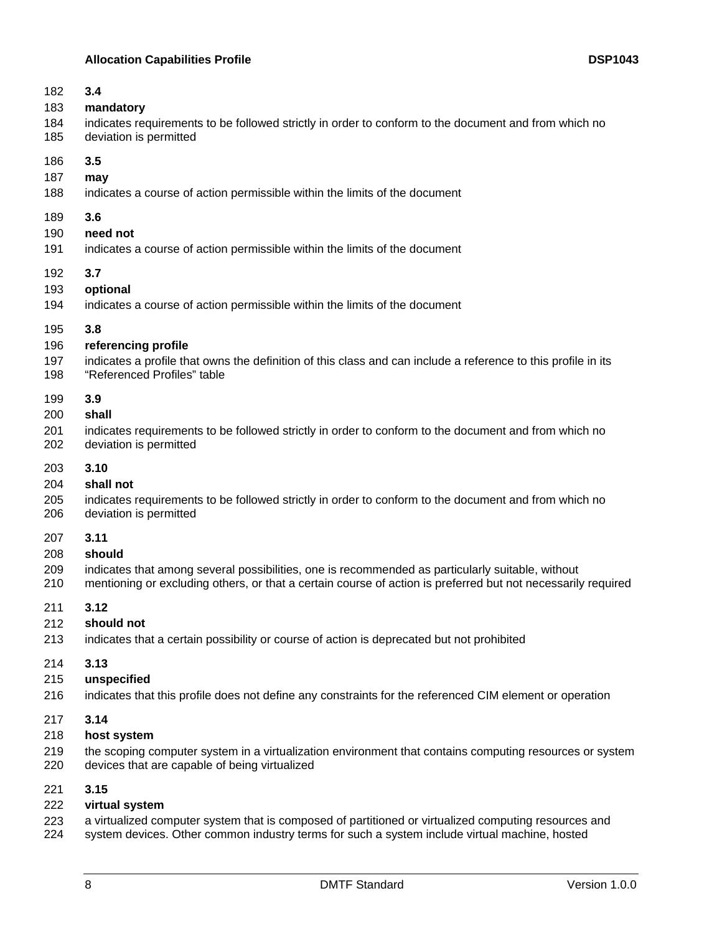| 182 | 3.4                                                                                                           |
|-----|---------------------------------------------------------------------------------------------------------------|
| 183 | mandatory                                                                                                     |
| 184 | indicates requirements to be followed strictly in order to conform to the document and from which no          |
| 185 | deviation is permitted                                                                                        |
| 186 | 3.5                                                                                                           |
| 187 | may                                                                                                           |
| 188 | indicates a course of action permissible within the limits of the document                                    |
| 189 | 3.6                                                                                                           |
| 190 | need not                                                                                                      |
| 191 | indicates a course of action permissible within the limits of the document                                    |
| 192 | 3.7                                                                                                           |
| 193 | optional                                                                                                      |
| 194 | indicates a course of action permissible within the limits of the document                                    |
| 195 | 3.8                                                                                                           |
| 196 | referencing profile                                                                                           |
| 197 | indicates a profile that owns the definition of this class and can include a reference to this profile in its |
| 198 | "Referenced Profiles" table                                                                                   |
| 199 | 3.9                                                                                                           |
| 200 | shall                                                                                                         |
| 201 | indicates requirements to be followed strictly in order to conform to the document and from which no          |
| 202 | deviation is permitted                                                                                        |
| 203 | 3.10                                                                                                          |
| 204 | shall not                                                                                                     |
| 205 | indicates requirements to be followed strictly in order to conform to the document and from which no          |
| 206 | deviation is permitted                                                                                        |
| 207 | 3.11                                                                                                          |
| 208 | should                                                                                                        |
| 209 | indicates that among several possibilities, one is recommended as particularly suitable, without              |
| 210 | mentioning or excluding others, or that a certain course of action is preferred but not necessarily required  |
| 211 | 3.12                                                                                                          |
| 212 | should not                                                                                                    |
| 213 | indicates that a certain possibility or course of action is deprecated but not prohibited                     |
| 214 | 3.13                                                                                                          |
| 215 | unspecified                                                                                                   |
| 216 | indicates that this profile does not define any constraints for the referenced CIM element or operation       |
| 217 | 3.14                                                                                                          |
| 218 | host system                                                                                                   |
| 219 | the scoping computer system in a virtualization environment that contains computing resources or system       |
| 220 | devices that are capable of being virtualized                                                                 |

221 **3.15** 

#### 222 **virtual system**

223 224 a virtualized computer system that is composed of partitioned or virtualized computing resources and system devices. Other common industry terms for such a system include virtual machine, hosted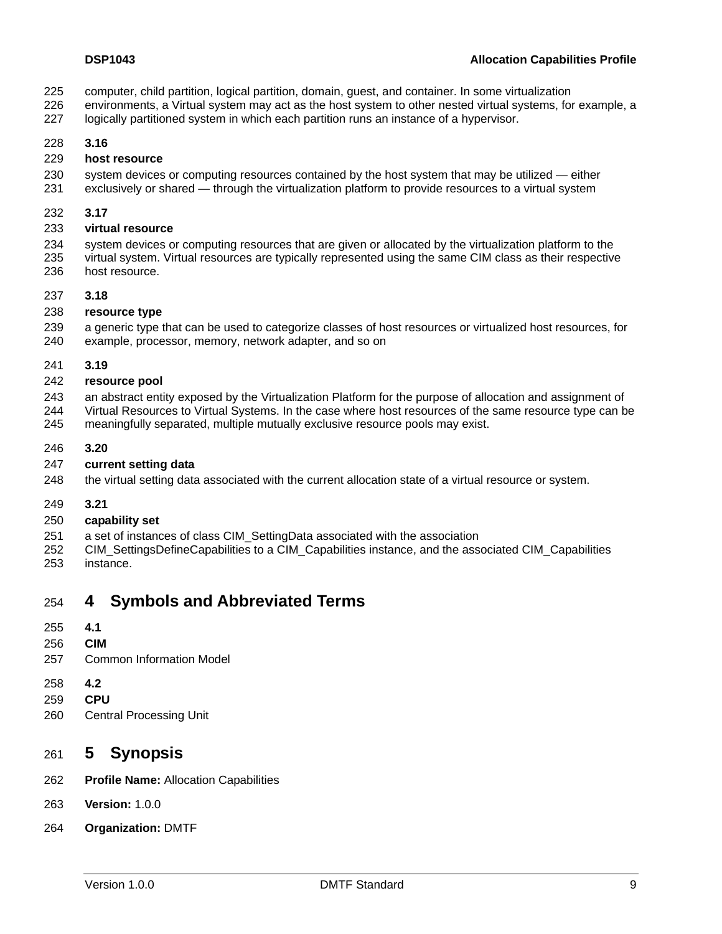- computer, child partition, logical partition, domain, guest, and container. In some virtualization 225
- environments, a Virtual system may act as the host system to other nested virtual systems, for example, a 226
- logically partitioned system in which each partition runs an instance of a hypervisor. 227

#### 228 **3.16**

#### 229 **host resource**

- 230 system devices or computing resources contained by the host system that may be utilized — either
- 231 exclusively or shared — through the virtualization platform to provide resources to a virtual system
- 232 **3.17**

#### 233 **virtual resource**

234 235 236 system devices or computing resources that are given or allocated by the virtualization platform to the virtual system. Virtual resources are typically represented using the same CIM class as their respective host resource.

#### 237 **3.18**

#### 238 **resource type**

- 239 240 a generic type that can be used to categorize classes of host resources or virtualized host resources, for example, processor, memory, network adapter, and so on
- 241 **3.19**

#### 242 **resource pool**

- 243 an abstract entity exposed by the Virtualization Platform for the purpose of allocation and assignment of
- 244 245 Virtual Resources to Virtual Systems. In the case where host resources of the same resource type can be meaningfully separated, multiple mutually exclusive resource pools may exist.
- 246 **3.20**

#### 247 **current setting data**

- 248 the virtual setting data associated with the current allocation state of a virtual resource or system.
- 249 **3.21**
- 250 **capability set**
- 251 a set of instances of class CIM\_SettingData associated with the association
- 252 CIM\_SettingsDefineCapabilities to a CIM\_Capabilities instance, and the associated CIM\_Capabilities
- 253 instance.

### <span id="page-8-0"></span>254 **4 Symbols and Abbreviated Terms**

- 255 **4.1**
- 256 **CIM**
- 257 Common Information Model
- 258 **4.2**
- 259 **CPU**
- 260 Central Processing Unit

### <span id="page-8-1"></span>261 **5 Synopsis**

- 262 **Profile Name:** Allocation Capabilities
- 263 **Version:** 1.0.0
- 264 **Organization:** DMTF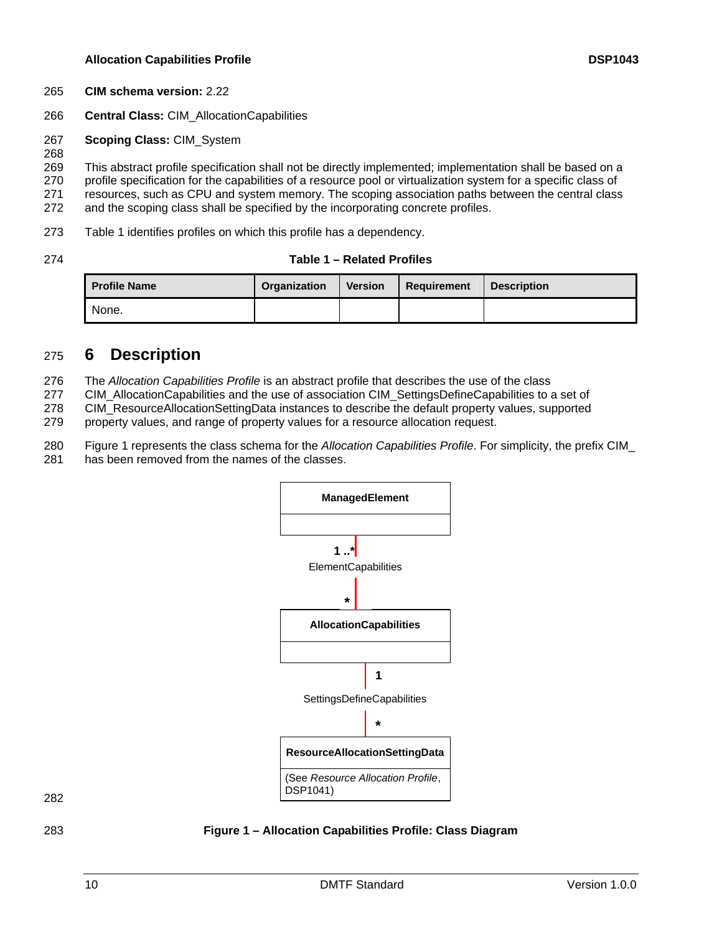#### **Allocation Capabilities Profile DSP1043**

- 265 **CIM schema version:** 2.22
- 266 **Central Class:** CIM\_AllocationCapabilities
- 267 **Scoping Class:** CIM\_System

268

269 This abstract profile specification shall not be directly implemented; implementation shall be based on a

270 271 profile specification for the capabilities of a resource pool or virtualization system for a specific class of resources, such as CPU and system memory. The scoping association paths between the central class

- 272 and the scoping class shall be specified by the incorporating concrete profiles.
- 273 [Table 1](#page-9-2) identifies profiles on which this profile has a dependency.
- <span id="page-9-2"></span>274

#### **Table 1 – Related Profiles**

| <b>Profile Name</b> | Organization | <b>Version</b> | Requirement | <b>Description</b> |
|---------------------|--------------|----------------|-------------|--------------------|
| None.               |              |                |             |                    |

### <span id="page-9-0"></span>275 **6 Description**

The *Allocation Capabilities Profile* is an abstract profile that describes the use of the class 276

CIM\_AllocationCapabilities and the use of association CIM\_SettingsDefineCapabilities to a set of 277

CIM\_ResourceAllocationSettingData instances to describe the default property values, supported 278

property values, and range of property values for a resource allocation request. 279

280 281 [Figure 1](#page-9-1) represents the class schema for the *Allocation Capabilities Profile*. For simplicity, the prefix CIM\_ has been removed from the names of the classes.



282



#### <span id="page-9-1"></span>283 **Figure 1 – Allocation Capabilities Profile: Class Diagram**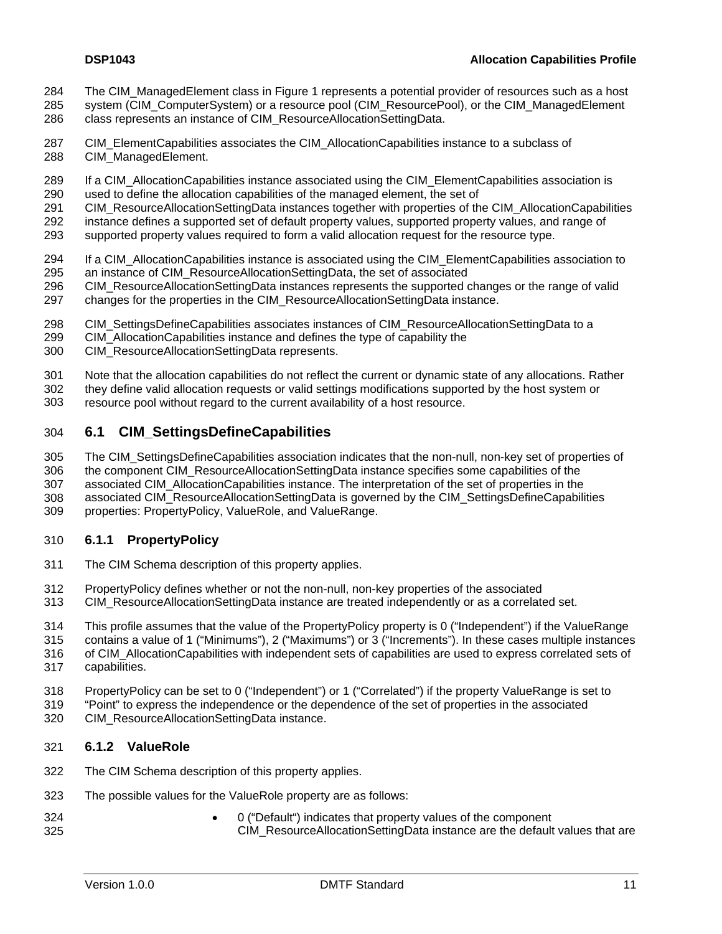- The CIM\_ManagedElement class in [Figure 1](#page-9-1) represents a potential provider of resources such as a host 284
- system (CIM\_ComputerSystem) or a resource pool (CIM\_ResourcePool), or the CIM\_ManagedElement 285
- class represents an instance of CIM\_ResourceAllocationSettingData. 286
- 287 288 CIM\_ElementCapabilities associates the CIM\_AllocationCapabilities instance to a subclass of CIM\_ManagedElement.
- 289 If a CIM\_AllocationCapabilities instance associated using the CIM\_ElementCapabilities association is
- 290 used to define the allocation capabilities of the managed element, the set of
- 291 CIM\_ResourceAllocationSettingData instances together with properties of the CIM\_AllocationCapabilities
- 292 instance defines a supported set of default property values, supported property values, and range of
- 293 supported property values required to form a valid allocation request for the resource type.
- 294 If a CIM\_AllocationCapabilities instance is associated using the CIM\_ElementCapabilities association to
- 295 an instance of CIM\_ResourceAllocationSettingData, the set of associated
- 296 CIM\_ResourceAllocationSettingData instances represents the supported changes or the range of valid
- 297 changes for the properties in the CIM\_ResourceAllocationSettingData instance.
- 298 CIM\_SettingsDefineCapabilities associates instances of CIM\_ResourceAllocationSettingData to a
- 299 CIM\_AllocationCapabilities instance and defines the type of capability the
- 300 CIM\_ResourceAllocationSettingData represents.
- 301 Note that the allocation capabilities do not reflect the current or dynamic state of any allocations. Rather
- 302 they define valid allocation requests or valid settings modifications supported by the host system or
- 303 resource pool without regard to the current availability of a host resource.

#### <span id="page-10-0"></span>304 **6.1 CIM\_SettingsDefineCapabilities**

- 305 The CIM SettingsDefineCapabilities association indicates that the non-null, non-key set of properties of
- 306 the component CIM\_ResourceAllocationSettingData instance specifies some capabilities of the
- 307 associated CIM\_AllocationCapabilities instance. The interpretation of the set of properties in the
- 308 associated CIM\_ResourceAllocationSettingData is governed by the CIM\_SettingsDefineCapabilities
- 309 properties: PropertyPolicy, ValueRole, and ValueRange.

#### 310 **6.1.1 PropertyPolicy**

- 311 The CIM Schema description of this property applies.
- 312 PropertyPolicy defines whether or not the non-null, non-key properties of the associated
- 313 CIM\_ResourceAllocationSettingData instance are treated independently or as a correlated set.
- 314 This profile assumes that the value of the PropertyPolicy property is 0 ("Independent") if the ValueRange
- 315 contains a value of 1 ("Minimums"), 2 ("Maximums") or 3 ("Increments"). In these cases multiple instances
- 316 317 of CIM\_AllocationCapabilities with independent sets of capabilities are used to express correlated sets of capabilities.
- 318 PropertyPolicy can be set to 0 ("Independent") or 1 ("Correlated") if the property ValueRange is set to
- 319 "Point" to express the independence or the dependence of the set of properties in the associated
- 320 CIM\_ResourceAllocationSettingData instance.

#### 321 **6.1.2 ValueRole**

- 322 The CIM Schema description of this property applies.
- 323 The possible values for the ValueRole property are as follows:
- 324 325 0 ("Default") indicates that property values of the component CIM ResourceAllocationSettingData instance are the default values that are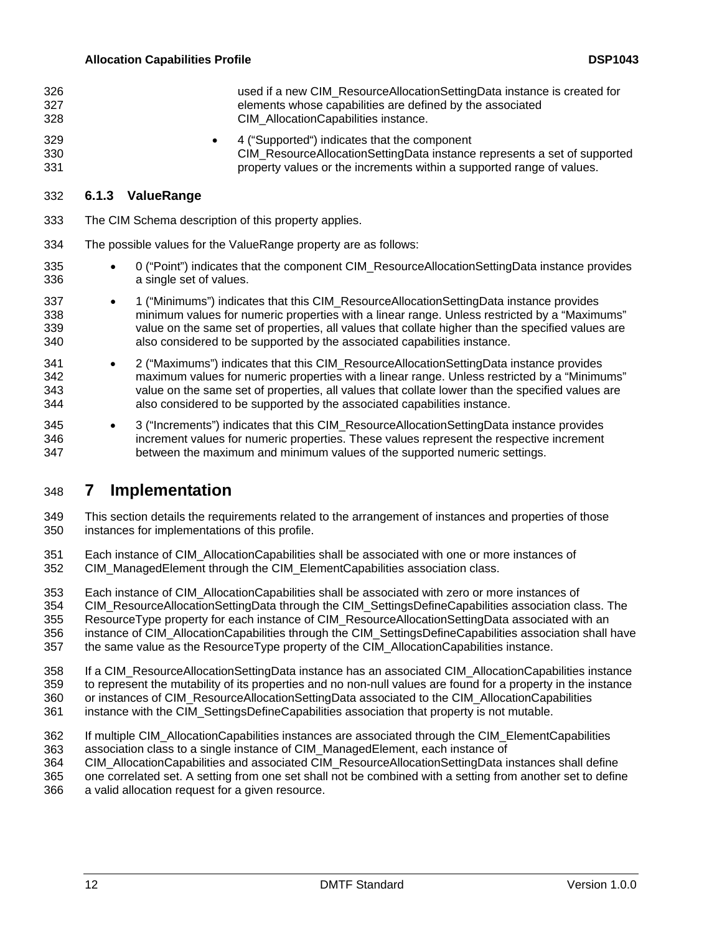| 326<br>327<br>328 | used if a new CIM ResourceAllocationSettingData instance is created for<br>elements whose capabilities are defined by the associated<br>CIM_AllocationCapabilities instance. |
|-------------------|------------------------------------------------------------------------------------------------------------------------------------------------------------------------------|
| 329               | 4 ("Supported") indicates that the component                                                                                                                                 |
| 330               | CIM_ResourceAllocationSettingData instance represents a set of supported                                                                                                     |
| 331               | property values or the increments within a supported range of values.                                                                                                        |

#### 332 **6.1.3 ValueRange**

- 333 The CIM Schema description of this property applies.
- 334 The possible values for the ValueRange property are as follows:
- 335 336 0 ("Point") indicates that the component CIM\_ResourceAllocationSettingData instance provides a single set of values.
- 337 338 339 340 1 ("Minimums") indicates that this CIM\_ResourceAllocationSettingData instance provides minimum values for numeric properties with a linear range. Unless restricted by a "Maximums" value on the same set of properties, all values that collate higher than the specified values are also considered to be supported by the associated capabilities instance.
- 341 342 343 344 2 ("Maximums") indicates that this CIM\_ResourceAllocationSettingData instance provides maximum values for numeric properties with a linear range. Unless restricted by a "Minimums" value on the same set of properties, all values that collate lower than the specified values are also considered to be supported by the associated capabilities instance.
- 345 346 347 3 ("Increments") indicates that this CIM\_ResourceAllocationSettingData instance provides increment values for numeric properties. These values represent the respective increment between the maximum and minimum values of the supported numeric settings.

## <span id="page-11-0"></span>348 **7 Implementation**

349 350 This section details the requirements related to the arrangement of instances and properties of those instances for implementations of this profile.

- 351 352 Each instance of CIM\_AllocationCapabilities shall be associated with one or more instances of CIM\_ManagedElement through the CIM\_ElementCapabilities association class.
- 353 Each instance of CIM\_AllocationCapabilities shall be associated with zero or more instances of
- 354 CIM\_ResourceAllocationSettingData through the CIM\_SettingsDefineCapabilities association class. The
- 355 ResourceType property for each instance of CIM\_ResourceAllocationSettingData associated with an
- 356 instance of CIM\_AllocationCapabilities through the CIM\_SettingsDefineCapabilities association shall have
- 357 the same value as the ResourceType property of the CIM\_AllocationCapabilities instance.
- 358 359 360 If a CIM\_ResourceAllocationSettingData instance has an associated CIM\_AllocationCapabilities instance to represent the mutability of its properties and no non-null values are found for a property in the instance or instances of CIM\_ResourceAllocationSettingData associated to the CIM\_AllocationCapabilities
- 361 instance with the CIM\_SettingsDefineCapabilities association that property is not mutable.
- 362 If multiple CIM\_AllocationCapabilities instances are associated through the CIM\_ElementCapabilities
- 363 association class to a single instance of CIM\_ManagedElement, each instance of
- 364 CIM\_AllocationCapabilities and associated CIM\_ResourceAllocationSettingData instances shall define
- 365 one correlated set. A setting from one set shall not be combined with a setting from another set to define
- 366 a valid allocation request for a given resource.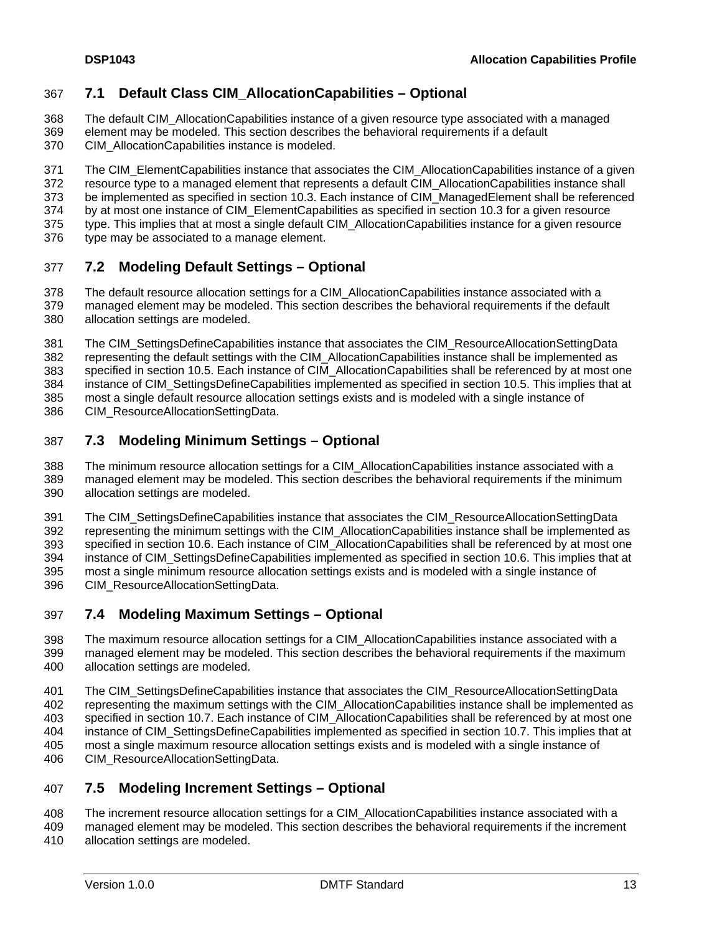#### <span id="page-12-0"></span>367 **7.1 Default Class CIM\_AllocationCapabilities – Optional**

The default CIM\_AllocationCapabilities instance of a given resource type associated with a managed 368

- element may be modeled. This section describes the behavioral requirements if a default 369
- CIM\_AllocationCapabilities instance is modeled. 370

371 372 373 374 375 376 The CIM\_ElementCapabilities instance that associates the CIM\_AllocationCapabilities instance of a given resource type to a managed element that represents a default CIM\_AllocationCapabilities instance shall be implemented as specified in section [10.3.](#page-20-0) Each instance of CIM\_ManagedElement shall be referenced by at most one instance of CIM\_ElementCapabilities as specified in section [10.3](#page-20-0) for a given resource type. This implies that at most a single default CIM\_AllocationCapabilities instance for a given resource type may be associated to a manage element.

#### <span id="page-12-1"></span>377 **7.2 Modeling Default Settings – Optional**

378 379 380 The default resource allocation settings for a CIM\_AllocationCapabilities instance associated with a managed element may be modeled. This section describes the behavioral requirements if the default allocation settings are modeled.

381 382 383 384 385 386 The CIM\_SettingsDefineCapabilities instance that associates the CIM\_ResourceAllocationSettingData representing the default settings with the CIM\_AllocationCapabilities instance shall be implemented as specified in section [10.5.](#page-21-0) Each instance of CIM\_AllocationCapabilities shall be referenced by at most one instance of CIM\_SettingsDefineCapabilities implemented as specified in section [10.5.](#page-21-0) This implies that at most a single default resource allocation settings exists and is modeled with a single instance of CIM\_ResourceAllocationSettingData.

#### <span id="page-12-2"></span>387 **7.3 Modeling Minimum Settings – Optional**

388 389 390 The minimum resource allocation settings for a CIM\_AllocationCapabilities instance associated with a managed element may be modeled. This section describes the behavioral requirements if the minimum allocation settings are modeled.

391 392 393 394 395 396 The CIM\_SettingsDefineCapabilities instance that associates the CIM\_ResourceAllocationSettingData representing the minimum settings with the CIM\_AllocationCapabilities instance shall be implemented as specified in section [10.6.](#page-22-0) Each instance of CIM AllocationCapabilities shall be referenced by at most one instance of CIM\_SettingsDefineCapabilities implemented as specified in section [10.6.](#page-22-0) This implies that at most a single minimum resource allocation settings exists and is modeled with a single instance of CIM\_ResourceAllocationSettingData.

#### <span id="page-12-3"></span>397 **7.4 Modeling Maximum Settings – Optional**

398 399 400 The maximum resource allocation settings for a CIM\_AllocationCapabilities instance associated with a managed element may be modeled. This section describes the behavioral requirements if the maximum allocation settings are modeled.

401 402 403 404 405 406 The CIM\_SettingsDefineCapabilities instance that associates the CIM\_ResourceAllocationSettingData representing the maximum settings with the CIM\_AllocationCapabilities instance shall be implemented as specified in section [10.7.](#page-22-1) Each instance of CIM\_AllocationCapabilities shall be referenced by at most one instance of CIM\_SettingsDefineCapabilities implemented as specified in section [10.7.](#page-22-1) This implies that at most a single maximum resource allocation settings exists and is modeled with a single instance of CIM\_ResourceAllocationSettingData.

#### <span id="page-12-4"></span>407 **7.5 Modeling Increment Settings – Optional**

408 409 The increment resource allocation settings for a CIM\_AllocationCapabilities instance associated with a managed element may be modeled. This section describes the behavioral requirements if the increment

410 allocation settings are modeled.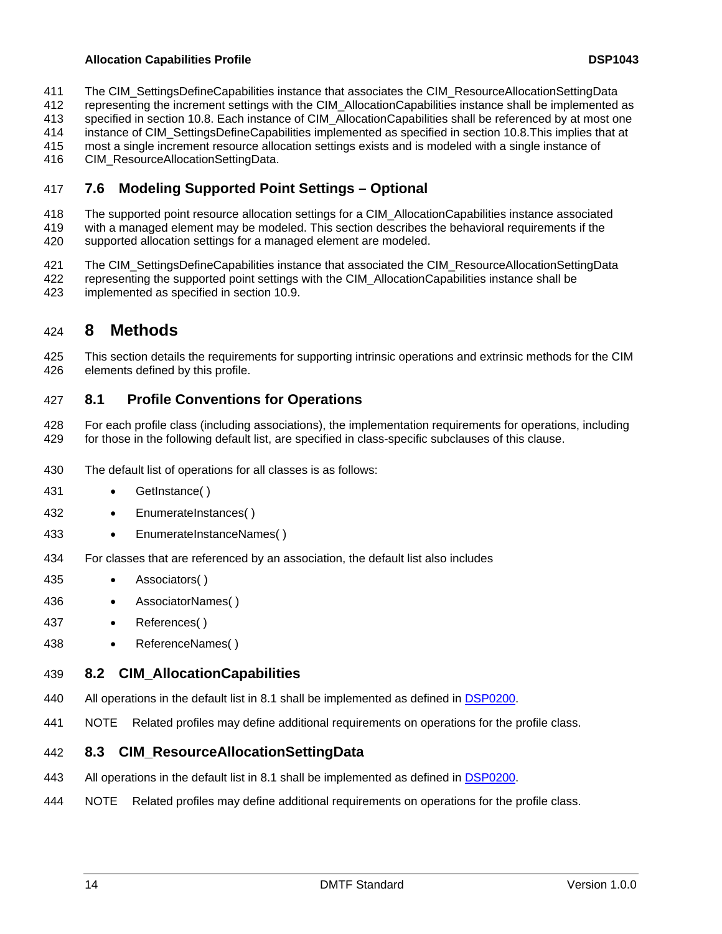- The CIM\_SettingsDefineCapabilities instance that associates the CIM\_ResourceAllocationSettingData 411
- representing the increment settings with the CIM\_AllocationCapabilities instance shall be implemented as 412
- specified in section [10.8.](#page-23-0) Each instance of CIM\_AllocationCapabilities shall be referenced by at most one 413
- 414 instance of CIM\_SettingsDefineCapabilities implemented as specified in section [10.8.](#page-23-0) This implies that at most a single increment resource allocation settings exists and is modeled with a single instance of
- 415
- 416 CIM\_ResourceAllocationSettingData.

### <span id="page-13-0"></span>417 **7.6 Modeling Supported Point Settings – Optional**

- 418 419 420 The supported point resource allocation settings for a CIM\_AllocationCapabilities instance associated with a managed element may be modeled. This section describes the behavioral requirements if the supported allocation settings for a managed element are modeled.
- 421 422 423 The CIM\_SettingsDefineCapabilities instance that associated the CIM\_ResourceAllocationSettingData representing the supported point settings with the CIM\_AllocationCapabilities instance shall be implemented as specified in section [10.9](#page-23-1).

## <span id="page-13-1"></span>424 **8 Methods**

425 426 This section details the requirements for supporting intrinsic operations and extrinsic methods for the CIM elements defined by this profile.

### <span id="page-13-2"></span>427 **8.1 Profile Conventions for Operations**

428 429 For each profile class (including associations), the implementation requirements for operations, including for those in the following default list, are specified in class-specific subclauses of this clause.

- 430 The default list of operations for all classes is as follows:
- 431 GetInstance( )
- 432 • EnumerateInstances()
- 433 • EnumerateInstanceNames()
- 434 For classes that are referenced by an association, the default list also includes
- 435 Associators( )
- 436 AssociatorNames( )
- 437 • References()
- 438 • ReferenceNames()

### <span id="page-13-3"></span>439 **8.2 CIM\_AllocationCapabilities**

- 440 All operations in the default list in [8.1](#page-13-2) shall be implemented as defined in **DSP0200**.
- 441 NOTE Related profiles may define additional requirements on operations for the profile class.

### <span id="page-13-4"></span>442 **8.3 CIM\_ResourceAllocationSettingData**

- 443 All operations in the default list in [8.1](#page-13-2) shall be implemented as defined in [DSP0200](#page-6-5).
- 444 NOTE Related profiles may define additional requirements on operations for the profile class.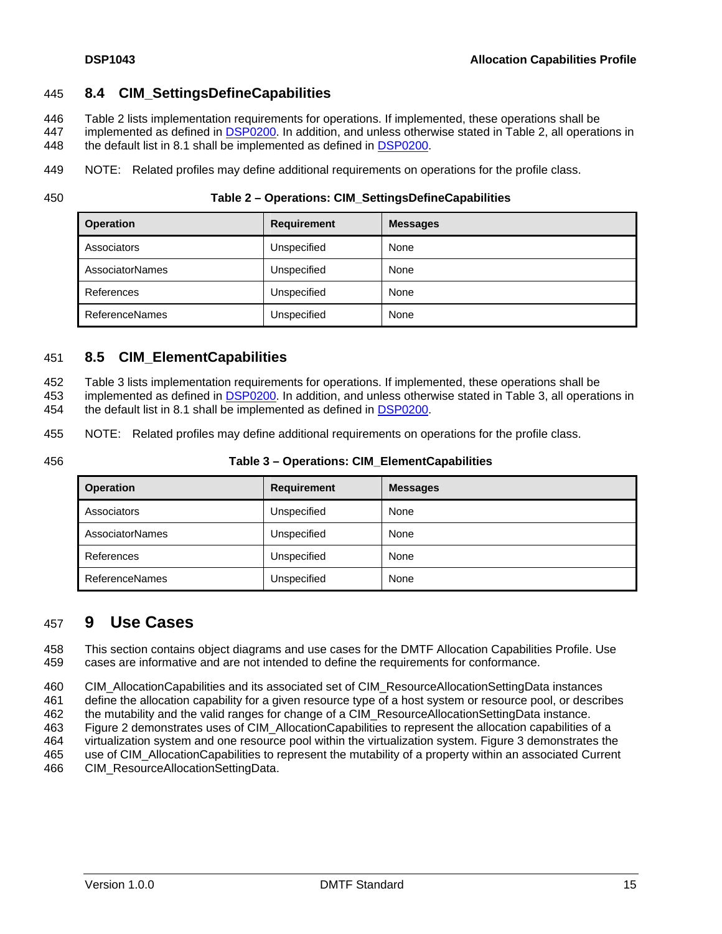### <span id="page-14-0"></span>445 **8.4 CIM\_SettingsDefineCapabilities**

[Table 2](#page-14-3) lists implementation requirements for operations. If implemented, these operations shall be 446

implemented as defined in *[DSP0200](#page-6-5)*. In addition, and unless otherwise stated in [Table 2](#page-14-3), all operations in 448 the default list in [8.1](#page-13-2) shall be implemented as defined in **DSP0200**. 447

449 NOTE: Related profiles may define additional requirements on operations for the profile class.

<span id="page-14-3"></span>450

**Table 2 – Operations: CIM\_SettingsDefineCapabilities** 

| <b>Operation</b>       | <b>Requirement</b> | <b>Messages</b> |
|------------------------|--------------------|-----------------|
| Associators            | Unspecified        | None            |
| <b>AssociatorNames</b> | Unspecified        | None            |
| References             | Unspecified        | None            |
| <b>ReferenceNames</b>  | Unspecified        | None            |

### <span id="page-14-1"></span>451 **8.5 CIM\_ElementCapabilities**

[Table 3](#page-14-4) lists implementation requirements for operations. If implemented, these operations shall be 452

implemented as defined in *[DSP0200](#page-6-5)*. In addition, and unless otherwise stated in [Table 3](#page-14-4), all operations in 454 the default list in [8.1](#page-13-2) shall be implemented as defined in **DSP0200**. 453

455 NOTE: Related profiles may define additional requirements on operations for the profile class.

<span id="page-14-4"></span>456

**Table 3 – Operations: CIM\_ElementCapabilities** 

| <b>Operation</b>      | <b>Requirement</b> | <b>Messages</b> |
|-----------------------|--------------------|-----------------|
| Associators           | Unspecified        | None            |
| AssociatorNames       | Unspecified        | None            |
| References            | Unspecified        | None            |
| <b>ReferenceNames</b> | Unspecified        | None            |

### <span id="page-14-2"></span>457 **9 Use Cases**

This section contains object diagrams and use cases for the DMTF Allocation Capabilities Profile. Use cases are informative and are not intended to define the requirements for conformance. 458 459

460 CIM\_AllocationCapabilities and its associated set of CIM\_ResourceAllocationSettingData instances

461 define the allocation capability for a given resource type of a host system or resource pool, or describes

462 the mutability and the valid ranges for change of a CIM\_ResourceAllocationSettingData instance.

463 [Figure 2](#page-15-3) demonstrates uses of CIM\_AllocationCapabilities to represent the allocation capabilities of a

464 465 virtualization system and one resource pool within the virtualization system. [Figure 3](#page-16-1) demonstrates the use of CIM\_AllocationCapabilities to represent the mutability of a property within an associated Current

466 CIM\_ResourceAllocationSettingData.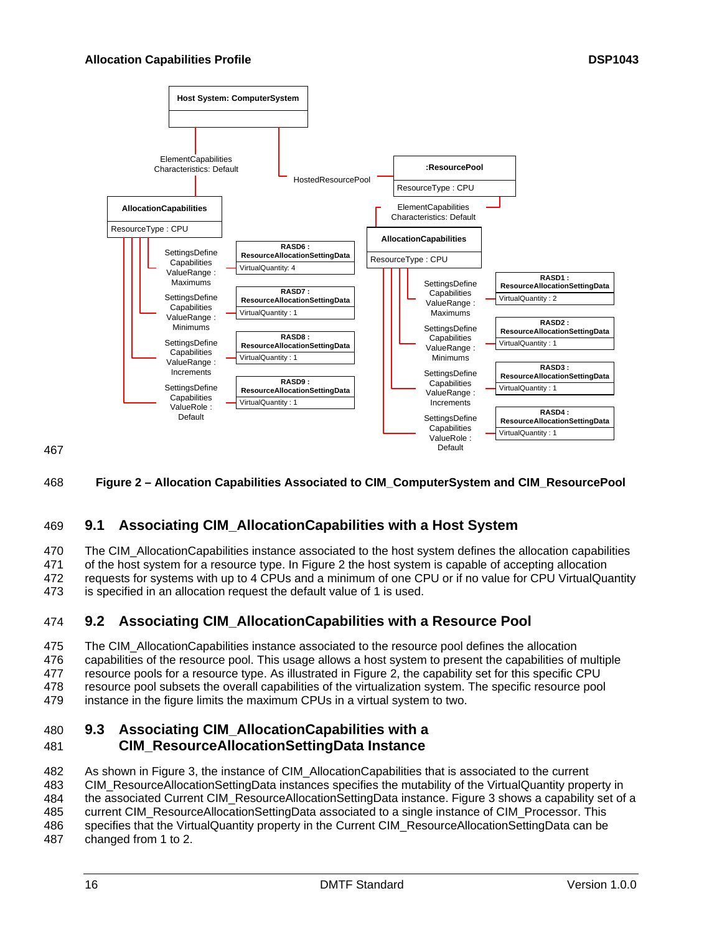

467

#### <span id="page-15-3"></span>468 **Figure 2 – Allocation Capabilities Associated to CIM\_ComputerSystem and CIM\_ResourcePool**

#### <span id="page-15-0"></span>469 **9.1 Associating CIM\_AllocationCapabilities with a Host System**

470 471 472 473 The CIM\_AllocationCapabilities instance associated to the host system defines the allocation capabilities of the host system for a resource type. In [Figure 2](#page-15-3) the host system is capable of accepting allocation requests for systems with up to 4 CPUs and a minimum of one CPU or if no value for CPU VirtualQuantity is specified in an allocation request the default value of 1 is used.

### <span id="page-15-1"></span>474 **9.2 Associating CIM\_AllocationCapabilities with a Resource Pool**

475 476 477 478 479 The CIM\_AllocationCapabilities instance associated to the resource pool defines the allocation capabilities of the resource pool. This usage allows a host system to present the capabilities of multiple resource pools for a resource type. As illustrated in [Figure 2,](#page-15-3) the capability set for this specific CPU resource pool subsets the overall capabilities of the virtualization system. The specific resource pool instance in the figure limits the maximum CPUs in a virtual system to two.

#### <span id="page-15-2"></span>481 480 **9.3 Associating CIM\_AllocationCapabilities with a CIM\_ResourceAllocationSettingData Instance**

482 483 As shown in [Figure 3](#page-16-1), the instance of CIM\_AllocationCapabilities that is associated to the current CIM\_ResourceAllocationSettingData instances specifies the mutability of the VirtualQuantity property in

484 the associated Current CIM\_ResourceAllocationSettingData instance. [Figure 3](#page-16-1) shows a capability set of a

- 485 current CIM\_ResourceAllocationSettingData associated to a single instance of CIM\_Processor. This
- 486 specifies that the VirtualQuantity property in the Current CIM\_ResourceAllocationSettingData can be
- 487 changed from 1 to 2.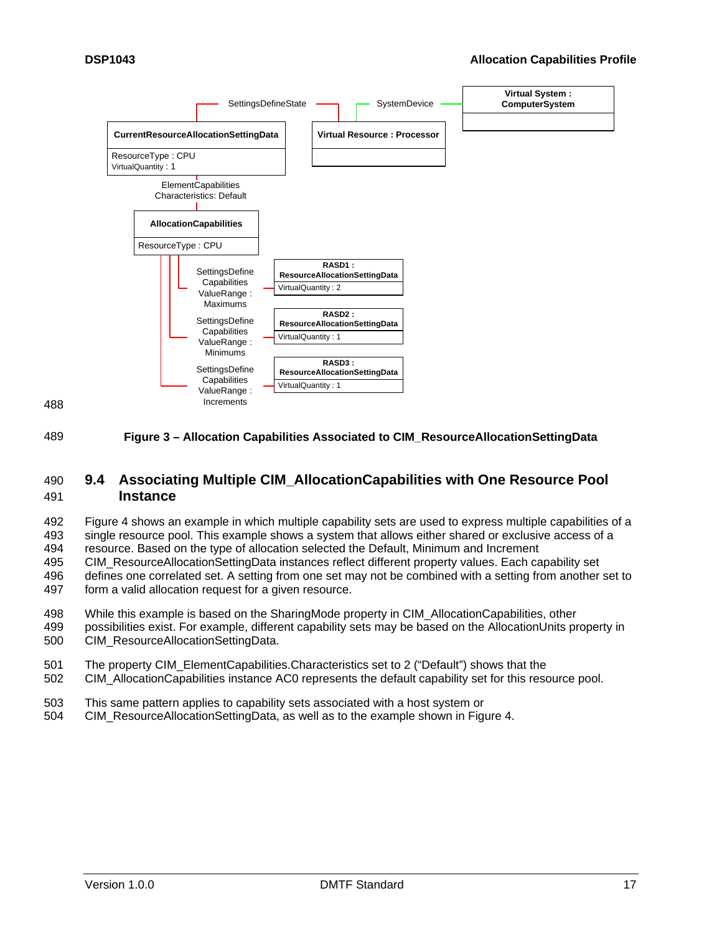

<span id="page-16-1"></span>

488

#### **Figure 3 – Allocation Capabilities Associated to CIM\_ResourceAllocationSettingData**

#### <span id="page-16-0"></span>491 490 **9.4 Associating Multiple CIM\_AllocationCapabilities with One Resource Pool Instance**

492 [Figure 4](#page-17-3) shows an example in which multiple capability sets are used to express multiple capabilities of a

493 494 single resource pool. This example shows a system that allows either shared or exclusive access of a resource. Based on the type of allocation selected the Default, Minimum and Increment

495 CIM\_ResourceAllocationSettingData instances reflect different property values. Each capability set

496 defines one correlated set. A setting from one set may not be combined with a setting from another set to

497 form a valid allocation request for a given resource.

498 While this example is based on the SharingMode property in CIM AllocationCapabilities, other

499 500 possibilities exist. For example, different capability sets may be based on the AllocationUnits property in CIM\_ResourceAllocationSettingData.

- 501 The property CIM\_ElementCapabilities.Characteristics set to 2 ("Default") shows that the
- 502 CIM\_AllocationCapabilities instance AC0 represents the default capability set for this resource pool.
- 503 This same pattern applies to capability sets associated with a host system or
- 504 CIM\_ResourceAllocationSettingData, as well as to the example shown in [Figure 4.](#page-17-3)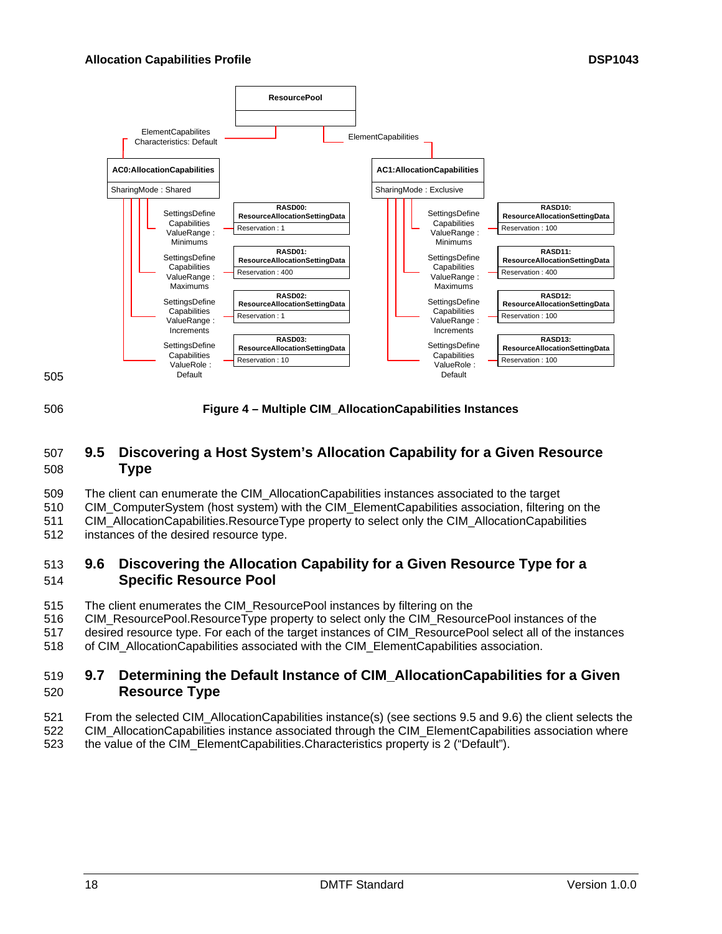#### **Allocation Capabilities Profile DSP1043**



<span id="page-17-3"></span>506

505

**Figure 4 – Multiple CIM\_AllocationCapabilities Instances** 

#### <span id="page-17-0"></span>508 507 **9.5 Discovering a Host System's Allocation Capability for a Given Resource Type**

- 509 The client can enumerate the CIM\_AllocationCapabilities instances associated to the target
- 510 CIM\_ComputerSystem (host system) with the CIM\_ElementCapabilities association, filtering on the
- 511 CIM\_AllocationCapabilities.ResourceType property to select only the CIM\_AllocationCapabilities
- 512 instances of the desired resource type.

#### <span id="page-17-1"></span>514 513 **9.6 Discovering the Allocation Capability for a Given Resource Type for a Specific Resource Pool**

- 515 The client enumerates the CIM\_ResourcePool instances by filtering on the
- 516 CIM\_ResourcePool.ResourceType property to select only the CIM\_ResourcePool instances of the
- 517 desired resource type. For each of the target instances of CIM\_ResourcePool select all of the instances

518 of CIM\_AllocationCapabilities associated with the CIM\_ElementCapabilities association.

#### <span id="page-17-2"></span>520 519 **9.7 Determining the Default Instance of CIM\_AllocationCapabilities for a Given Resource Type**

- 521 From the selected CIM\_AllocationCapabilities instance(s) (see sections [9.5](#page-17-0) and [9.6\)](#page-17-1) the client selects the
- 522 523 CIM\_AllocationCapabilities instance associated through the CIM\_ElementCapabilities association where the value of the CIM\_ElementCapabilities.Characteristics property is 2 ("Default").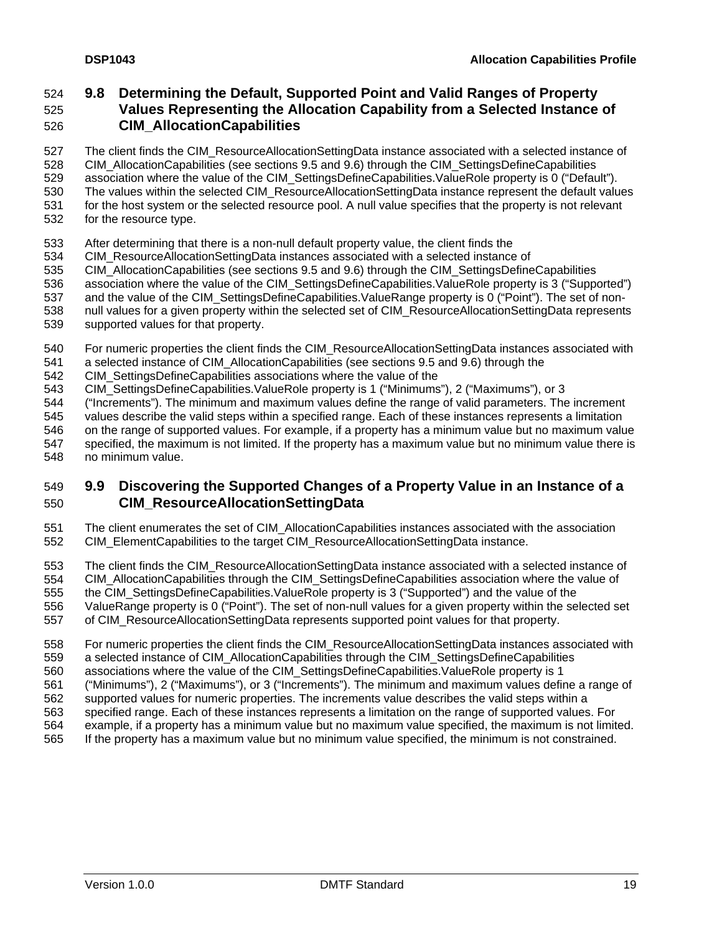#### <span id="page-18-0"></span>524 **9.8 Determining the Default, Supported Point and Valid Ranges of Property Values Representing the Allocation Capability from a Selected Instance of CIM\_AllocationCapabilities**  525 526

527 528 529 530 The client finds the CIM\_ResourceAllocationSettingData instance associated with a selected instance of CIM\_AllocationCapabilities (see sections [9.5](#page-17-0) and [9.6\)](#page-17-1) through the CIM\_SettingsDefineCapabilities association where the value of the CIM\_SettingsDefineCapabilities.ValueRole property is 0 ("Default"). The values within the selected CIM\_ResourceAllocationSettingData instance represent the default values

- 531 532 for the host system or the selected resource pool. A null value specifies that the property is not relevant for the resource type.
- 533 After determining that there is a non-null default property value, the client finds the
- 534 CIM\_ResourceAllocationSettingData instances associated with a selected instance of
- 535 CIM\_AllocationCapabilities (see sections [9.5](#page-17-0) and [9.6\)](#page-17-1) through the CIM\_SettingsDefineCapabilities
- 536 association where the value of the CIM\_SettingsDefineCapabilities.ValueRole property is 3 ("Supported")
- 537 and the value of the CIM SettingsDefineCapabilities. ValueRange property is 0 ("Point"). The set of non-
- 538 null values for a given property within the selected set of CIM\_ResourceAllocationSettingData represents
- 539 supported values for that property.
- 540 For numeric properties the client finds the CIM\_ResourceAllocationSettingData instances associated with
- 541 a selected instance of CIM\_AllocationCapabilities (see sections [9.5](#page-17-0) and [9.6](#page-17-1)) through the
- 542 CIM\_SettingsDefineCapabilities associations where the value of the
- 543 CIM\_SettingsDefineCapabilities.ValueRole property is 1 ("Minimums"), 2 ("Maximums"), or 3
- 544 ("Increments"). The minimum and maximum values define the range of valid parameters. The increment
- 545 values describe the valid steps within a specified range. Each of these instances represents a limitation
- 546 on the range of supported values. For example, if a property has a minimum value but no maximum value
- 547 548 specified, the maximum is not limited. If the property has a maximum value but no minimum value there is no minimum value.

#### <span id="page-18-1"></span>550 549 **9.9 Discovering the Supported Changes of a Property Value in an Instance of a CIM\_ResourceAllocationSettingData**

- 551 552 The client enumerates the set of CIM\_AllocationCapabilities instances associated with the association CIM\_ElementCapabilities to the target CIM\_ResourceAllocationSettingData instance.
- 553 The client finds the CIM\_ResourceAllocationSettingData instance associated with a selected instance of
- 554 CIM\_AllocationCapabilities through the CIM\_SettingsDefineCapabilities association where the value of
- 555 the CIM\_SettingsDefineCapabilities.ValueRole property is 3 ("Supported") and the value of the
- 556 ValueRange property is 0 ("Point"). The set of non-null values for a given property within the selected set
- 557 of CIM\_ResourceAllocationSettingData represents supported point values for that property.
- 558 559 For numeric properties the client finds the CIM\_ResourceAllocationSettingData instances associated with a selected instance of CIM\_AllocationCapabilities through the CIM\_SettingsDefineCapabilities
- 560 associations where the value of the CIM\_SettingsDefineCapabilities.ValueRole property is 1
- 561 ("Minimums"), 2 ("Maximums"), or 3 ("Increments"). The minimum and maximum values define a range of
- 562 supported values for numeric properties. The increments value describes the valid steps within a
- 563 specified range. Each of these instances represents a limitation on the range of supported values. For
- 564 example, if a property has a minimum value but no maximum value specified, the maximum is not limited.
- 565 If the property has a maximum value but no minimum value specified, the minimum is not constrained.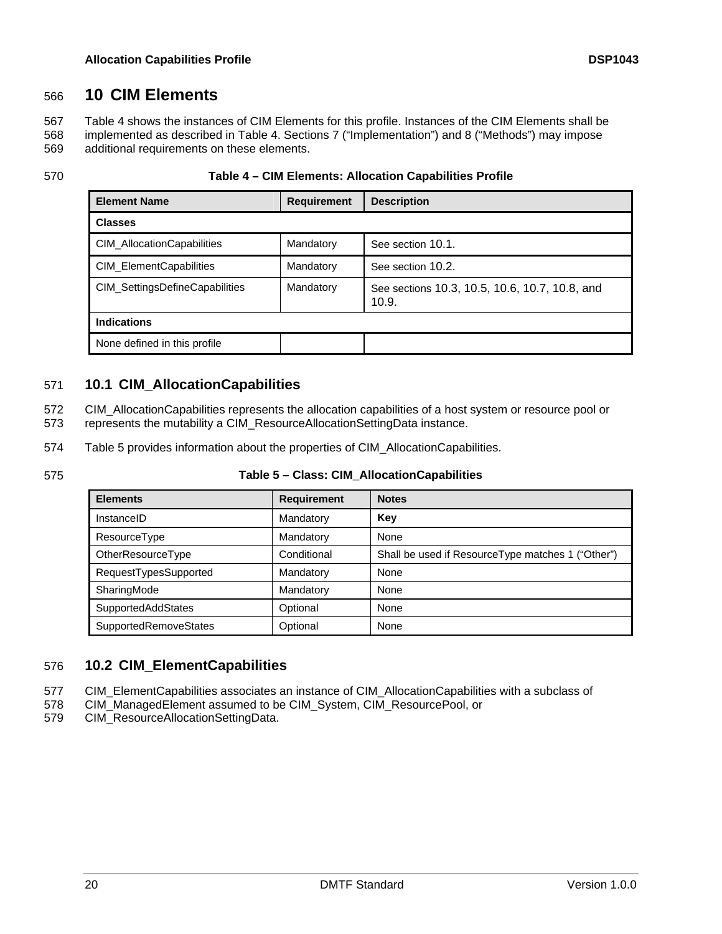### <span id="page-19-0"></span>566 **10 CIM Elements**

[Table 4](#page-19-3) shows the instances of CIM Elements for this profile. Instances of the CIM Elements shall be implemented as described in [Table 4](#page-19-3). Sections [7](#page-11-0) ("Implementation") and [8](#page-13-1) ("Methods") may impose 567 568 569 additional requirements on these elements.

<span id="page-19-3"></span>

| Table 4 – CIM Elements: Allocation Capabilities Profile |
|---------------------------------------------------------|
|---------------------------------------------------------|

| <b>Element Name</b>               | <b>Requirement</b> | <b>Description</b>                                      |
|-----------------------------------|--------------------|---------------------------------------------------------|
| <b>Classes</b>                    |                    |                                                         |
| <b>CIM AllocationCapabilities</b> | Mandatory          | See section 10.1.                                       |
| CIM_ElementCapabilities           | Mandatory          | See section 10.2.                                       |
| CIM_SettingsDefineCapabilities    | Mandatory          | See sections 10.3, 10.5, 10.6, 10.7, 10.8, and<br>10.9. |
| <b>Indications</b>                |                    |                                                         |
| None defined in this profile      |                    |                                                         |

#### <span id="page-19-1"></span>571 **10.1 CIM\_AllocationCapabilities**

CIM\_AllocationCapabilities represents the allocation capabilities of a host system or resource pool or represents the mutability a CIM\_ResourceAllocationSettingData instance. 572 573

- 574 [Table 5](#page-19-4) provides information about the properties of CIM\_AllocationCapabilities.
- <span id="page-19-4"></span>575

#### **Table 5 – Class: CIM\_AllocationCapabilities**

| <b>Elements</b>              | <b>Requirement</b> | <b>Notes</b>                                      |
|------------------------------|--------------------|---------------------------------------------------|
| InstanceID                   | Mandatory          | Key                                               |
| ResourceType                 | Mandatory          | None                                              |
| OtherResourceType            | Conditional        | Shall be used if ResourceType matches 1 ("Other") |
| RequestTypesSupported        | Mandatory          | None                                              |
| SharingMode                  | Mandatory          | None                                              |
| <b>SupportedAddStates</b>    | Optional           | None                                              |
| <b>SupportedRemoveStates</b> | Optional           | None                                              |

#### <span id="page-19-2"></span>576 **10.2 CIM\_ElementCapabilities**

- CIM\_ElementCapabilities associates an instance of CIM\_AllocationCapabilities with a subclass of 577
- CIM\_ManagedElement assumed to be CIM\_System, CIM\_ResourcePool, or 578
- CIM\_ResourceAllocationSettingData. 579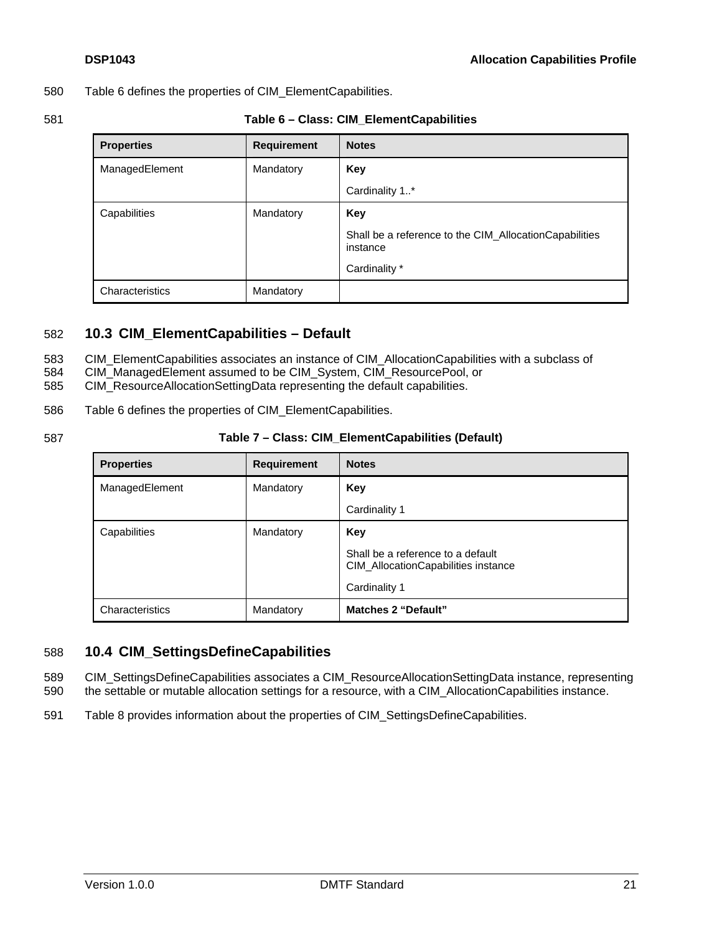#### 580 [Table 6](#page-20-2) defines the properties of CIM\_ElementCapabilities.

#### <span id="page-20-2"></span>581 **Table 6 – Class: CIM\_ElementCapabilities**

| <b>Properties</b> | <b>Requirement</b> | <b>Notes</b>                                                       |
|-------------------|--------------------|--------------------------------------------------------------------|
| ManagedElement    | Mandatory          | Key                                                                |
|                   |                    | Cardinality 1*                                                     |
| Capabilities      | Mandatory          | Key                                                                |
|                   |                    | Shall be a reference to the CIM_AllocationCapabilities<br>instance |
|                   |                    | Cardinality *                                                      |
| Characteristics   | Mandatory          |                                                                    |

#### <span id="page-20-0"></span>582 **10.3 CIM\_ElementCapabilities – Default**

- CIM\_ElementCapabilities associates an instance of CIM\_AllocationCapabilities with a subclass of 583
- CIM\_ManagedElement assumed to be CIM\_System, CIM\_ResourcePool, or 584
- CIM\_ResourceAllocationSettingData representing the default capabilities. 585
- 586 [Table 6](#page-20-2) defines the properties of CIM\_ElementCapabilities.
- <span id="page-20-3"></span>587

|  | Table 7 - Class: CIM_ElementCapabilities (Default) |  |
|--|----------------------------------------------------|--|
|--|----------------------------------------------------|--|

| <b>Properties</b> | <b>Requirement</b> | <b>Notes</b>                                                             |
|-------------------|--------------------|--------------------------------------------------------------------------|
| ManagedElement    | Mandatory          | Key                                                                      |
|                   |                    | Cardinality 1                                                            |
| Capabilities      | Mandatory          | Key                                                                      |
|                   |                    | Shall be a reference to a default<br>CIM_AllocationCapabilities instance |
|                   |                    | Cardinality 1                                                            |
| Characteristics   | Mandatory          | <b>Matches 2 "Default"</b>                                               |

### <span id="page-20-1"></span>588 **10.4 CIM\_SettingsDefineCapabilities**

CIM\_SettingsDefineCapabilities associates a CIM\_ResourceAllocationSettingData instance, representing the settable or mutable allocation settings for a resource, with a CIM\_AllocationCapabilities instance. 589 590

591 [Table 8](#page-21-1) provides information about the properties of CIM\_SettingsDefineCapabilities.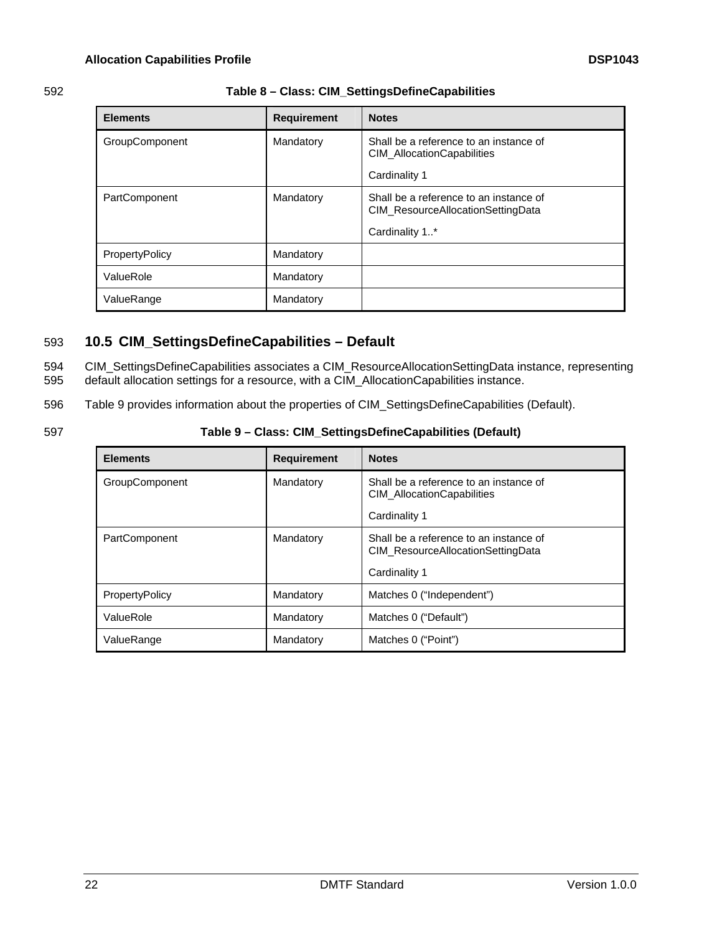#### <span id="page-21-1"></span>592 **Table 8 – Class: CIM\_SettingsDefineCapabilities**

| <b>Elements</b>       | <b>Requirement</b> | <b>Notes</b>                                                                                  |
|-----------------------|--------------------|-----------------------------------------------------------------------------------------------|
| <b>GroupComponent</b> | Mandatory          | Shall be a reference to an instance of<br><b>CIM AllocationCapabilities</b><br>Cardinality 1  |
| PartComponent         | Mandatory          | Shall be a reference to an instance of<br>CIM ResourceAllocationSettingData<br>Cardinality 1* |
| PropertyPolicy        | Mandatory          |                                                                                               |
| ValueRole             | Mandatory          |                                                                                               |
| ValueRange            | Mandatory          |                                                                                               |

### <span id="page-21-0"></span>593 **10.5 CIM\_SettingsDefineCapabilities – Default**

CIM\_SettingsDefineCapabilities associates a CIM\_ResourceAllocationSettingData instance, representing default allocation settings for a resource, with a CIM\_AllocationCapabilities instance. 594 595

<span id="page-21-2"></span>596 [Table 9](#page-21-2) provides information about the properties of CIM\_SettingsDefineCapabilities (Default).

|  |  | Table 9 - Class: CIM_SettingsDefineCapabilities (Default) |  |  |
|--|--|-----------------------------------------------------------|--|--|
|--|--|-----------------------------------------------------------|--|--|

| <b>Elements</b>       | <b>Requirement</b> | <b>Notes</b>                                                                |
|-----------------------|--------------------|-----------------------------------------------------------------------------|
| <b>GroupComponent</b> | Mandatory          | Shall be a reference to an instance of<br><b>CIM_AllocationCapabilities</b> |
|                       |                    | Cardinality 1                                                               |
| PartComponent         | Mandatory          | Shall be a reference to an instance of<br>CIM ResourceAllocationSettingData |
|                       |                    | Cardinality 1                                                               |
| PropertyPolicy        | Mandatory          | Matches 0 ("Independent")                                                   |
| ValueRole             | Mandatory          | Matches 0 ("Default")                                                       |
| ValueRange            | Mandatory          | Matches 0 ("Point")                                                         |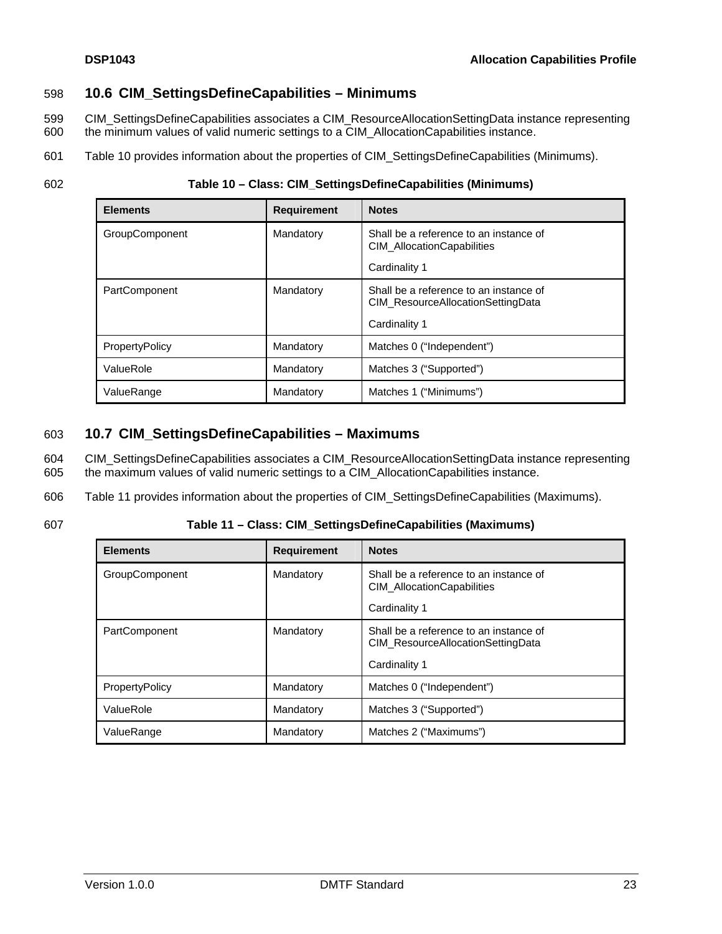#### <span id="page-22-0"></span>598 **10.6 CIM\_SettingsDefineCapabilities – Minimums**

- CIM\_SettingsDefineCapabilities associates a CIM\_ResourceAllocationSettingData instance representing the minimum values of valid numeric settings to a CIM\_AllocationCapabilities instance. 599 600
- 601 [Table 10](#page-22-2) provides information about the properties of CIM\_SettingsDefineCapabilities (Minimums).

<span id="page-22-2"></span>602

**Table 10 – Class: CIM\_SettingsDefineCapabilities (Minimums)** 

| <b>Elements</b>       | <b>Requirement</b> | <b>Notes</b>                                                                |
|-----------------------|--------------------|-----------------------------------------------------------------------------|
| <b>GroupComponent</b> | Mandatory          | Shall be a reference to an instance of<br>CIM Allocation Capabilities       |
|                       |                    | Cardinality 1                                                               |
| PartComponent         | Mandatory          | Shall be a reference to an instance of<br>CIM ResourceAllocationSettingData |
|                       |                    | Cardinality 1                                                               |
| PropertyPolicy        | Mandatory          | Matches 0 ("Independent")                                                   |
| ValueRole             | Mandatory          | Matches 3 ("Supported")                                                     |
| ValueRange            | Mandatory          | Matches 1 ("Minimums")                                                      |

#### <span id="page-22-5"></span><span id="page-22-4"></span><span id="page-22-1"></span>603 **10.7 CIM\_SettingsDefineCapabilities – Maximums**

CIM\_SettingsDefineCapabilities associates a CIM\_ResourceAllocationSettingData instance representing the maximum values of valid numeric settings to a CIM\_AllocationCapabilities instance. 604 605

<span id="page-22-3"></span>606 [Table 11](#page-22-3) provides information about the properties of CIM\_SettingsDefineCapabilities (Maximums).

**Table 11 – Class: CIM\_SettingsDefineCapabilities (Maximums)** 

| <b>Elements</b> | <b>Requirement</b> | <b>Notes</b>                                                                                 |
|-----------------|--------------------|----------------------------------------------------------------------------------------------|
| GroupComponent  | Mandatory          | Shall be a reference to an instance of<br>CIM Allocation Capabilities<br>Cardinality 1       |
| PartComponent   | Mandatory          | Shall be a reference to an instance of<br>CIM ResourceAllocationSettingData<br>Cardinality 1 |
| PropertyPolicy  | Mandatory          | Matches 0 ("Independent")                                                                    |
| ValueRole       | Mandatory          | Matches 3 ("Supported")                                                                      |
| ValueRange      | Mandatory          | Matches 2 ("Maximums")                                                                       |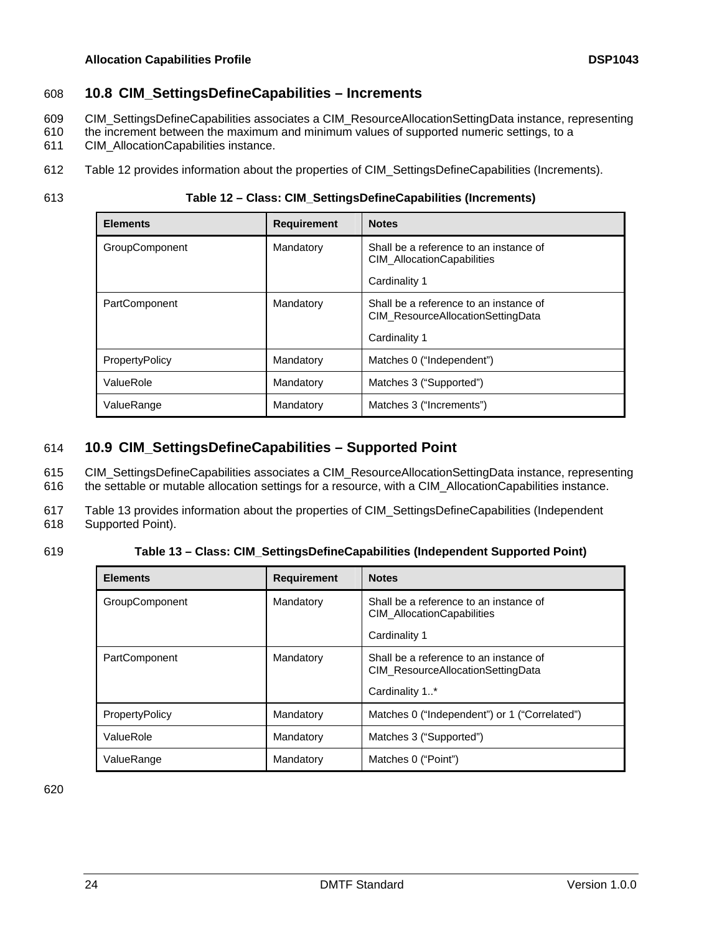#### **Allocation Capabilities Profile DSP1043**

#### <span id="page-23-0"></span>608 **10.8 CIM\_SettingsDefineCapabilities – Increments**

- CIM\_SettingsDefineCapabilities associates a CIM\_ResourceAllocationSettingData instance, representing 609
- the increment between the maximum and minimum values of supported numeric settings, to a 610
- CIM\_AllocationCapabilities instance. 611
- 612 [Table 12](#page-23-2) provides information about the properties of CIM\_SettingsDefineCapabilities (Increments).

<span id="page-23-2"></span>613

**Table 12 – Class: CIM\_SettingsDefineCapabilities (Increments)** 

| <b>Elements</b>       | <b>Requirement</b> | <b>Notes</b>                                                                                 |
|-----------------------|--------------------|----------------------------------------------------------------------------------------------|
| <b>GroupComponent</b> | Mandatory          | Shall be a reference to an instance of<br><b>CIM AllocationCapabilities</b><br>Cardinality 1 |
| PartComponent         | Mandatory          | Shall be a reference to an instance of<br>CIM ResourceAllocationSettingData<br>Cardinality 1 |
| PropertyPolicy        | Mandatory          | Matches 0 ("Independent")                                                                    |
| ValueRole             | Mandatory          | Matches 3 ("Supported")                                                                      |
| ValueRange            | Mandatory          | Matches 3 ("Increments")                                                                     |

#### <span id="page-23-1"></span>614 **10.9 CIM\_SettingsDefineCapabilities – Supported Point**

CIM\_SettingsDefineCapabilities associates a CIM\_ResourceAllocationSettingData instance, representing the settable or mutable allocation settings for a resource, with a CIM\_AllocationCapabilities instance. 615 616

617 618 [Table 13](#page-23-3) provides information about the properties of CIM\_SettingsDefineCapabilities (Independent Supported Point).

<span id="page-23-3"></span>619

**Table 13 – Class: CIM\_SettingsDefineCapabilities (Independent Supported Point)** 

| <b>Elements</b>       | <b>Requirement</b> | <b>Notes</b>                                                                                               |
|-----------------------|--------------------|------------------------------------------------------------------------------------------------------------|
| <b>GroupComponent</b> | Mandatory          | Shall be a reference to an instance of<br>CIM Allocation Capabilities<br>Cardinality 1                     |
| PartComponent         | Mandatory          | Shall be a reference to an instance of<br>CIM ResourceAllocationSettingData<br>Cardinality 1. <sup>*</sup> |
| PropertyPolicy        | Mandatory          | Matches 0 ("Independent") or 1 ("Correlated")                                                              |
| ValueRole             | Mandatory          | Matches 3 ("Supported")                                                                                    |
| ValueRange            | Mandatory          | Matches 0 ("Point")                                                                                        |